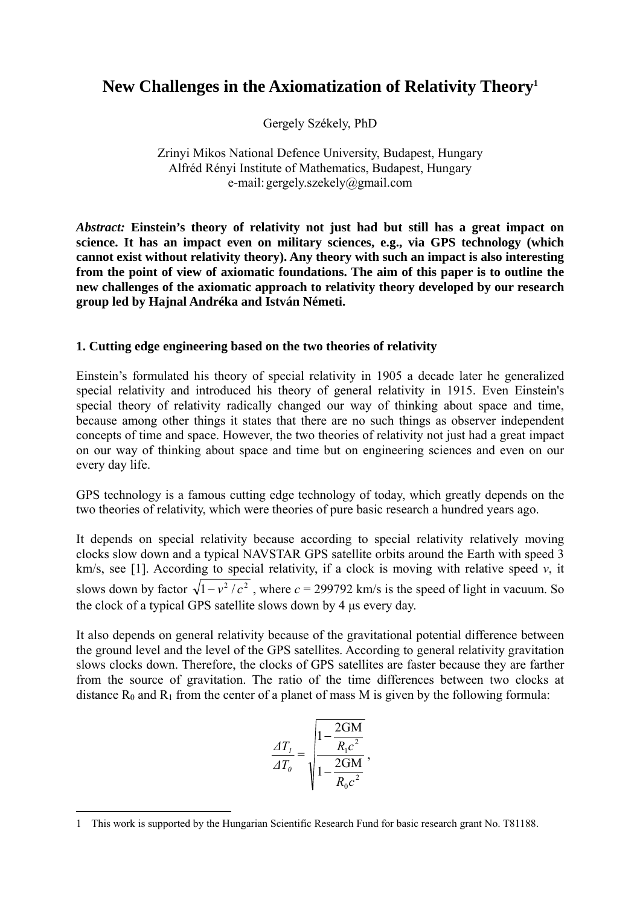# **New Challenges in the Axiomatization of Relativity Theor[y1](#page-0-0)**

Gergely Székely, PhD

Zrinyi Mikos National Defence University, Budapest, Hungary Alfréd Rényi Institute of Mathematics, Budapest, Hungary e-mail: gergely.szekely@gmail.com

*Abstract:* **Einstein's theory of relativity not just had but still has a great impact on science. It has an impact even on military sciences, e.g., via GPS technology (which cannot exist without relativity theory). Any theory with such an impact is also interesting from the point of view of axiomatic foundations. The aim of this paper is to outline the new challenges of the axiomatic approach to relativity theory developed by our research group led by Hajnal Andréka and István Németi.** 

## **1. Cutting edge engineering based on the two theories of relativity**

Einstein's formulated his theory of special relativity in 1905 a decade later he generalized special relativity and introduced his theory of general relativity in 1915. Even Einstein's special theory of relativity radically changed our way of thinking about space and time, because among other things it states that there are no such things as observer independent concepts of time and space. However, the two theories of relativity not just had a great impact on our way of thinking about space and time but on engineering sciences and even on our every day life.

GPS technology is a famous cutting edge technology of today, which greatly depends on the two theories of relativity, which were theories of pure basic research a hundred years ago.

It depends on special relativity because according to special relativity relatively moving clocks slow down and a typical NAVSTAR GPS satellite orbits around the Earth with speed 3 km/s, see [1]. According to special relativity, if a clock is moving with relative speed *v*, it slows down by factor  $\sqrt{1 - v^2/c^2}$ , where  $c = 299792$  km/s is the speed of light in vacuum. So the clock of a typical GPS satellite slows down by 4 µs every day.

It also depends on general relativity because of the gravitational potential difference between the ground level and the level of the GPS satellites. According to general relativity gravitation slows clocks down. Therefore, the clocks of GPS satellites are faster because they are farther from the source of gravitation. The ratio of the time differences between two clocks at distance  $R_0$  and  $R_1$  from the center of a planet of mass M is given by the following formula:

$$
\frac{\Delta T_{I}}{\Delta T_{o}} = \sqrt{\frac{1 - \frac{2GM}{R_{I}c^2}}{1 - \frac{2GM}{R_{o}c^2}}},
$$

<span id="page-0-0"></span> <sup>1</sup> This work is supported by the Hungarian Scientific Research Fund for basic research grant No. T81188.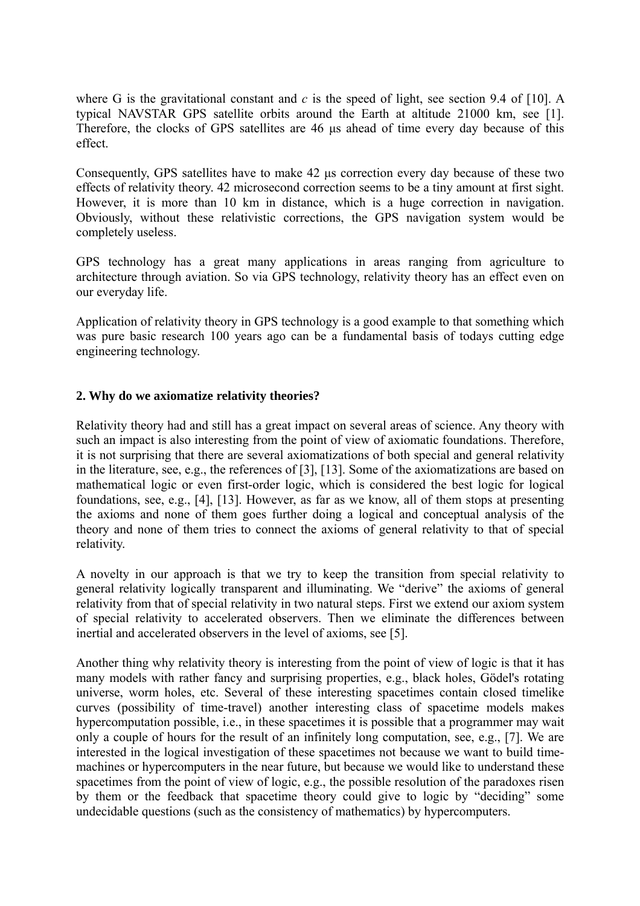where G is the gravitational constant and  $c$  is the speed of light, see section 9.4 of [10]. A typical NAVSTAR GPS satellite orbits around the Earth at altitude 21000 km, see [1]. Therefore, the clocks of GPS satellites are 46 µs ahead of time every day because of this effect.

Consequently, GPS satellites have to make 42 µs correction every day because of these two effects of relativity theory. 42 microsecond correction seems to be a tiny amount at first sight. However, it is more than 10 km in distance, which is a huge correction in navigation. Obviously, without these relativistic corrections, the GPS navigation system would be completely useless.

GPS technology has a great many applications in areas ranging from agriculture to architecture through aviation. So via GPS technology, relativity theory has an effect even on our everyday life.

Application of relativity theory in GPS technology is a good example to that something which was pure basic research 100 years ago can be a fundamental basis of todays cutting edge engineering technology.

#### **2. Why do we axiomatize relativity theories?**

Relativity theory had and still has a great impact on several areas of science. Any theory with such an impact is also interesting from the point of view of axiomatic foundations. Therefore, it is not surprising that there are several axiomatizations of both special and general relativity in the literature, see, e.g., the references of [3], [13]. Some of the axiomatizations are based on mathematical logic or even first-order logic, which is considered the best logic for logical foundations, see, e.g., [4], [13]. However, as far as we know, all of them stops at presenting the axioms and none of them goes further doing a logical and conceptual analysis of the theory and none of them tries to connect the axioms of general relativity to that of special relativity.

A novelty in our approach is that we try to keep the transition from special relativity to general relativity logically transparent and illuminating. We "derive" the axioms of general relativity from that of special relativity in two natural steps. First we extend our axiom system of special relativity to accelerated observers. Then we eliminate the differences between inertial and accelerated observers in the level of axioms, see [5].

Another thing why relativity theory is interesting from the point of view of logic is that it has many models with rather fancy and surprising properties, e.g., black holes, Gödel's rotating universe, worm holes, etc. Several of these interesting spacetimes contain closed timelike curves (possibility of time-travel) another interesting class of spacetime models makes hypercomputation possible, i.e., in these spacetimes it is possible that a programmer may wait only a couple of hours for the result of an infinitely long computation, see, e.g., [7]. We are interested in the logical investigation of these spacetimes not because we want to build timemachines or hypercomputers in the near future, but because we would like to understand these spacetimes from the point of view of logic, e.g., the possible resolution of the paradoxes risen by them or the feedback that spacetime theory could give to logic by "deciding" some undecidable questions (such as the consistency of mathematics) by hypercomputers.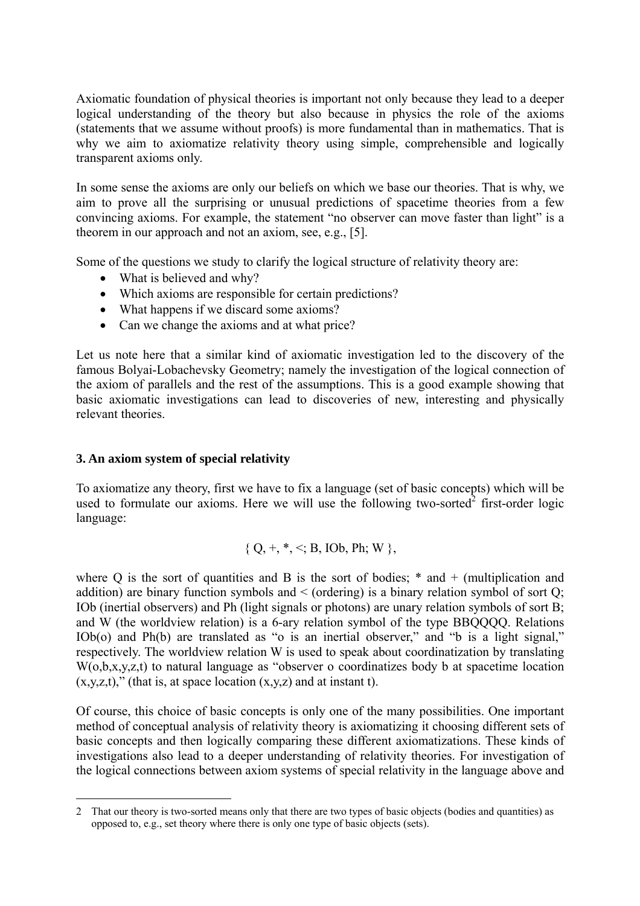Axiomatic foundation of physical theories is important not only because they lead to a deeper logical understanding of the theory but also because in physics the role of the axioms (statements that we assume without proofs) is more fundamental than in mathematics. That is why we aim to axiomatize relativity theory using simple, comprehensible and logically transparent axioms only.

In some sense the axioms are only our beliefs on which we base our theories. That is why, we aim to prove all the surprising or unusual predictions of spacetime theories from a few convincing axioms. For example, the statement "no observer can move faster than light" is a theorem in our approach and not an axiom, see, e.g., [5].

Some of the questions we study to clarify the logical structure of relativity theory are:

- What is believed and why?
- Which axioms are responsible for certain predictions?
- What happens if we discard some axioms?
- Can we change the axioms and at what price?

Let us note here that a similar kind of axiomatic investigation led to the discovery of the famous Bolyai-Lobachevsky Geometry; namely the investigation of the logical connection of the axiom of parallels and the rest of the assumptions. This is a good example showing that basic axiomatic investigations can lead to discoveries of new, interesting and physically relevant theories.

#### **3. An axiom system of special relativity**

 $\overline{a}$ 

To axiomatize any theory, first we have to fix a language (set of basic concepts) which will be used to formulate our axioms. Here we will use the following two-sorted $2$  first-order logic language:

$$
\{Q, +, *, <; B, IOb, Ph; W\},\
$$

where Q is the sort of quantities and B is the sort of bodies;  $*$  and  $+$  (multiplication and addition) are binary function symbols and  $\le$  (ordering) is a binary relation symbol of sort Q; IOb (inertial observers) and Ph (light signals or photons) are unary relation symbols of sort B; and W (the worldview relation) is a 6-ary relation symbol of the type BBOOOO. Relations IOb(o) and Ph(b) are translated as "o is an inertial observer," and "b is a light signal," respectively. The worldview relation W is used to speak about coordinatization by translating W(0,b,x,y,z,t) to natural language as "observer o coordinatizes body b at spacetime location  $(x,y,z,t)$ ," (that is, at space location  $(x,y,z)$  and at instant t).

Of course, this choice of basic concepts is only one of the many possibilities. One important method of conceptual analysis of relativity theory is axiomatizing it choosing different sets of basic concepts and then logically comparing these different axiomatizations. These kinds of investigations also lead to a deeper understanding of relativity theories. For investigation of the logical connections between axiom systems of special relativity in the language above and

<span id="page-2-0"></span><sup>2</sup> That our theory is two-sorted means only that there are two types of basic objects (bodies and quantities) as opposed to, e.g., set theory where there is only one type of basic objects (sets).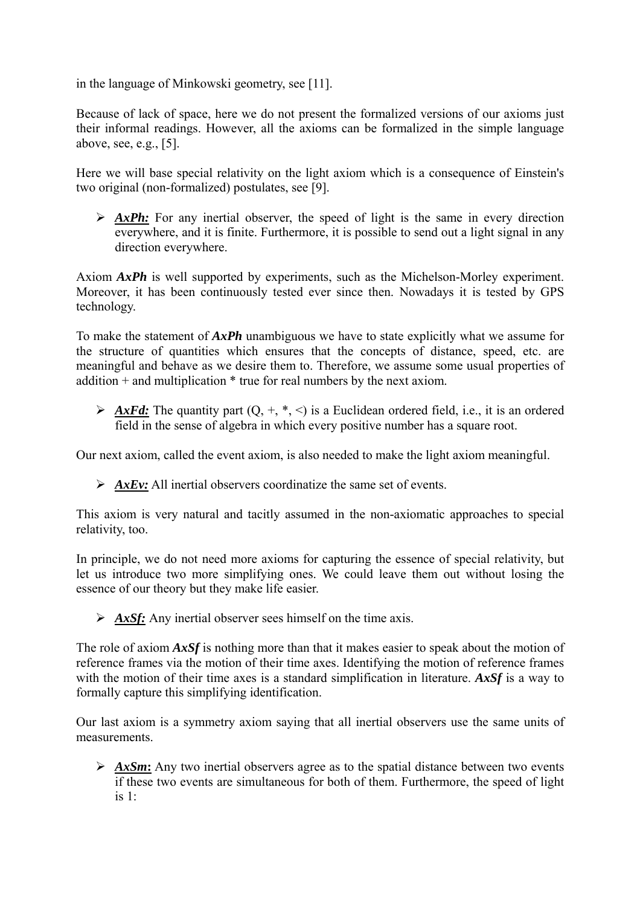in the language of Minkowski geometry, see [11].

Because of lack of space, here we do not present the formalized versions of our axioms just their informal readings. However, all the axioms can be formalized in the simple language above, see, e.g., [5].

Here we will base special relativity on the light axiom which is a consequence of Einstein's two original (non-formalized) postulates, see [9].

¾ *AxPh:* For any inertial observer, the speed of light is the same in every direction everywhere, and it is finite. Furthermore, it is possible to send out a light signal in any direction everywhere.

Axiom *AxPh* is well supported by experiments, such as the Michelson-Morley experiment. Moreover, it has been continuously tested ever since then. Nowadays it is tested by GPS technology.

To make the statement of *AxPh* unambiguous we have to state explicitly what we assume for the structure of quantities which ensures that the concepts of distance, speed, etc. are meaningful and behave as we desire them to. Therefore, we assume some usual properties of  $addition + and multiplication * true for real numbers by the next axiom.$ 

 $\triangleright$  *AxFd:* The quantity part  $(Q, +, *, <)$  is a Euclidean ordered field, i.e., it is an ordered field in the sense of algebra in which every positive number has a square root.

Our next axiom, called the event axiom, is also needed to make the light axiom meaningful.

¾ *AxEv:* All inertial observers coordinatize the same set of events.

This axiom is very natural and tacitly assumed in the non-axiomatic approaches to special relativity, too.

In principle, we do not need more axioms for capturing the essence of special relativity, but let us introduce two more simplifying ones. We could leave them out without losing the essence of our theory but they make life easier.

¾ *AxSf:* Any inertial observer sees himself on the time axis.

The role of axiom *AxSf* is nothing more than that it makes easier to speak about the motion of reference frames via the motion of their time axes. Identifying the motion of reference frames with the motion of their time axes is a standard simplification in literature. *AxSf* is a way to formally capture this simplifying identification.

Our last axiom is a symmetry axiom saying that all inertial observers use the same units of measurements.

¾ *AxSm***:** Any two inertial observers agree as to the spatial distance between two events if these two events are simultaneous for both of them. Furthermore, the speed of light is  $1$ .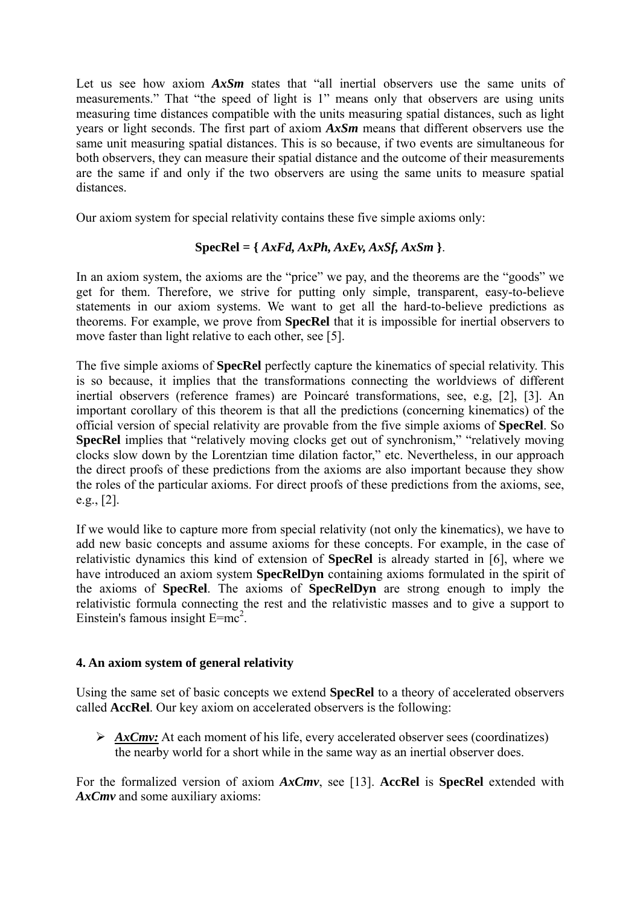Let us see how axiom  $A x S m$  states that "all inertial observers use the same units of measurements." That "the speed of light is 1" means only that observers are using units measuring time distances compatible with the units measuring spatial distances, such as light years or light seconds. The first part of axiom *AxSm* means that different observers use the same unit measuring spatial distances. This is so because, if two events are simultaneous for both observers, they can measure their spatial distance and the outcome of their measurements are the same if and only if the two observers are using the same units to measure spatial distances.

Our axiom system for special relativity contains these five simple axioms only:

## **SpecRel** *=* **{** *AxFd, AxPh, AxEv, AxSf, AxSm* **}**.

In an axiom system, the axioms are the "price" we pay, and the theorems are the "goods" we get for them. Therefore, we strive for putting only simple, transparent, easy-to-believe statements in our axiom systems. We want to get all the hard-to-believe predictions as theorems. For example, we prove from **SpecRel** that it is impossible for inertial observers to move faster than light relative to each other, see [5].

The five simple axioms of **SpecRel** perfectly capture the kinematics of special relativity. This is so because, it implies that the transformations connecting the worldviews of different inertial observers (reference frames) are Poincaré transformations, see, e.g, [2], [3]. An important corollary of this theorem is that all the predictions (concerning kinematics) of the official version of special relativity are provable from the five simple axioms of **SpecRel**. So **SpecRel** implies that "relatively moving clocks get out of synchronism," "relatively moving clocks slow down by the Lorentzian time dilation factor," etc. Nevertheless, in our approach the direct proofs of these predictions from the axioms are also important because they show the roles of the particular axioms. For direct proofs of these predictions from the axioms, see, e.g., [2].

If we would like to capture more from special relativity (not only the kinematics), we have to add new basic concepts and assume axioms for these concepts. For example, in the case of relativistic dynamics this kind of extension of **SpecRel** is already started in [6], where we have introduced an axiom system **SpecRelDyn** containing axioms formulated in the spirit of the axioms of **SpecRel**. The axioms of **SpecRelDyn** are strong enough to imply the relativistic formula connecting the rest and the relativistic masses and to give a support to Einstein's famous insight  $E=mc^2$ .

## **4. An axiom system of general relativity**

Using the same set of basic concepts we extend **SpecRel** to a theory of accelerated observers called **AccRel**. Our key axiom on accelerated observers is the following:

▶ *AxCmv*: At each moment of his life, every accelerated observer sees (coordinatizes) the nearby world for a short while in the same way as an inertial observer does.

For the formalized version of axiom *AxCmv*, see [13]. **AccRel** is **SpecRel** extended with *AxCmv* and some auxiliary axioms: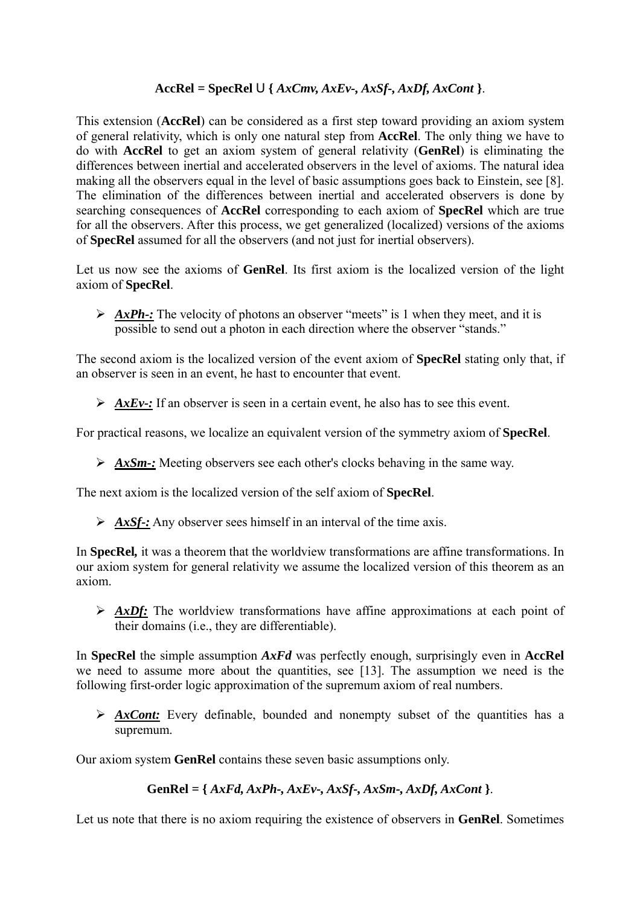# $AccRel = SpecRel \cup \{ AxCmv, AxEv-, AxSf-, AxDf, AxCont \}.$

This extension (**AccRel**) can be considered as a first step toward providing an axiom system of general relativity, which is only one natural step from **AccRel**. The only thing we have to do with **AccRel** to get an axiom system of general relativity (**GenRel**) is eliminating the differences between inertial and accelerated observers in the level of axioms. The natural idea making all the observers equal in the level of basic assumptions goes back to Einstein, see [8]. The elimination of the differences between inertial and accelerated observers is done by searching consequences of **AccRel** corresponding to each axiom of **SpecRel** which are true for all the observers. After this process, we get generalized (localized) versions of the axioms of **SpecRel** assumed for all the observers (and not just for inertial observers).

Let us now see the axioms of **GenRel**. Its first axiom is the localized version of the light axiom of **SpecRel**.

▶ *AxPh*-: The velocity of photons an observer "meets" is 1 when they meet, and it is possible to send out a photon in each direction where the observer "stands."

The second axiom is the localized version of the event axiom of **SpecRel** stating only that, if an observer is seen in an event, he hast to encounter that event.

 $\triangleright$  *AxEv*-: If an observer is seen in a certain event, he also has to see this event.

For practical reasons, we localize an equivalent version of the symmetry axiom of **SpecRel**.

¾ *AxSm-:* Meeting observers see each other's clocks behaving in the same way.

The next axiom is the localized version of the self axiom of **SpecRel**.

 $\triangleright$  *AxSf-:* Any observer sees himself in an interval of the time axis.

In **SpecRel***,* it was a theorem that the worldview transformations are affine transformations. In our axiom system for general relativity we assume the localized version of this theorem as an axiom.

¾ *AxDf:* The worldview transformations have affine approximations at each point of their domains (i.e., they are differentiable).

In **SpecRel** the simple assumption *AxFd* was perfectly enough, surprisingly even in **AccRel** we need to assume more about the quantities, see [13]. The assumption we need is the following first-order logic approximation of the supremum axiom of real numbers.

¾ *AxCont:* Every definable, bounded and nonempty subset of the quantities has a supremum.

Our axiom system **GenRel** contains these seven basic assumptions only.

## **GenRel** *=* **{** *AxFd, AxPh-, AxEv-, AxSf-, AxSm-, AxDf, AxCont* **}**.

Let us note that there is no axiom requiring the existence of observers in **GenRel**. Sometimes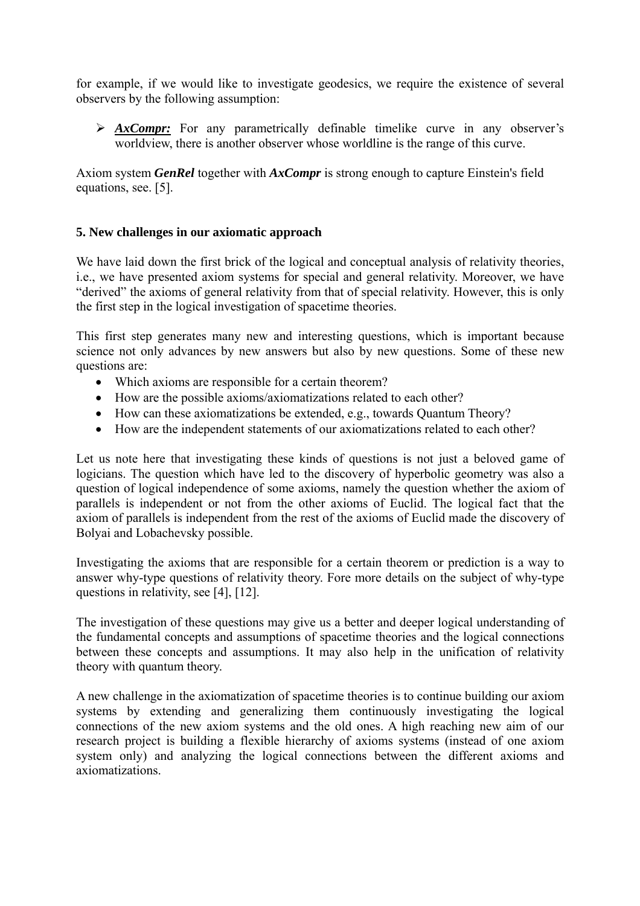for example, if we would like to investigate geodesics, we require the existence of several observers by the following assumption:

¾ *AxCompr:* For any parametrically definable timelike curve in any observer's worldview, there is another observer whose worldline is the range of this curve.

Axiom system *GenRel* together with *AxCompr* is strong enough to capture Einstein's field equations, see. [5].

## **5. New challenges in our axiomatic approach**

We have laid down the first brick of the logical and conceptual analysis of relativity theories, i.e., we have presented axiom systems for special and general relativity. Moreover, we have "derived" the axioms of general relativity from that of special relativity. However, this is only the first step in the logical investigation of spacetime theories.

This first step generates many new and interesting questions, which is important because science not only advances by new answers but also by new questions. Some of these new questions are:

- Which axioms are responsible for a certain theorem?
- How are the possible axioms/axiomatizations related to each other?
- How can these axiomatizations be extended, e.g., towards Quantum Theory?
- How are the independent statements of our axiomatizations related to each other?

Let us note here that investigating these kinds of questions is not just a beloved game of logicians. The question which have led to the discovery of hyperbolic geometry was also a question of logical independence of some axioms, namely the question whether the axiom of parallels is independent or not from the other axioms of Euclid. The logical fact that the axiom of parallels is independent from the rest of the axioms of Euclid made the discovery of Bolyai and Lobachevsky possible.

Investigating the axioms that are responsible for a certain theorem or prediction is a way to answer why-type questions of relativity theory. Fore more details on the subject of why-type questions in relativity, see [4], [12].

The investigation of these questions may give us a better and deeper logical understanding of the fundamental concepts and assumptions of spacetime theories and the logical connections between these concepts and assumptions. It may also help in the unification of relativity theory with quantum theory.

A new challenge in the axiomatization of spacetime theories is to continue building our axiom systems by extending and generalizing them continuously investigating the logical connections of the new axiom systems and the old ones. A high reaching new aim of our research project is building a flexible hierarchy of axioms systems (instead of one axiom system only) and analyzing the logical connections between the different axioms and axiomatizations.